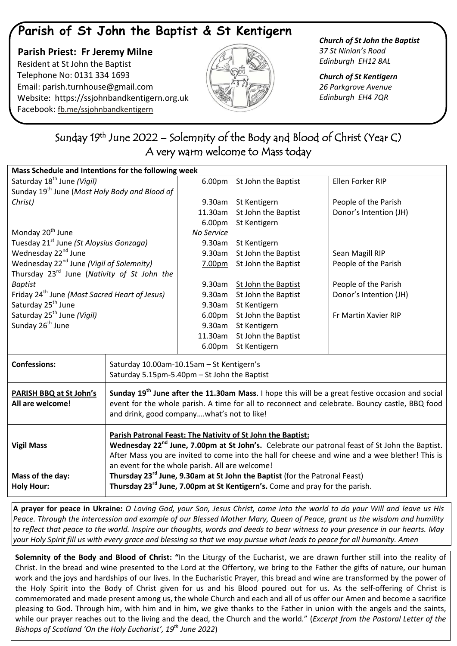## **Parish of St John the Baptist & St Kentigern**

 **Parish Priest: Fr Jeremy Milne** Resident at St John the Baptist Telephone No: 0131 334 1693 Email: [parish.turnhouse@gmail.com](mailto:parish.turnhouse@gmail.com)  Website: [https://ssjohnbandkentigern.org.uk](https://ssjohnbandkentigern.org.uk/) Facebook: [fb.me/ssjohnbandkentigern](https://fb.me/ssjohnbandkentigern)



*Church of St John the Baptist 37 St Ninian's Road Edinburgh EH12 8AL*

*Church of St Kentigern 26 Parkgrove Avenue Edinburgh EH4 7QR*

## j Sunday 19<sup>th</sup> June 2022 – Solemnity of the Body and Blood of Christ (Year C) A very warm welcome to Mass today  $\overline{\phantom{a}}$

j

| Mass Schedule and Intentions for the following week        |                                                                                                                                                                                                                                                                                                                                                                                                                                                                                                                      |            |                     |                        |
|------------------------------------------------------------|----------------------------------------------------------------------------------------------------------------------------------------------------------------------------------------------------------------------------------------------------------------------------------------------------------------------------------------------------------------------------------------------------------------------------------------------------------------------------------------------------------------------|------------|---------------------|------------------------|
| Saturday 18 <sup>th</sup> June (Vigil)                     |                                                                                                                                                                                                                                                                                                                                                                                                                                                                                                                      | 6.00pm     | St John the Baptist | Ellen Forker RIP       |
| Sunday 19 <sup>th</sup> June (Most Holy Body and Blood of  |                                                                                                                                                                                                                                                                                                                                                                                                                                                                                                                      |            |                     |                        |
| Christ)                                                    |                                                                                                                                                                                                                                                                                                                                                                                                                                                                                                                      | 9.30am     | St Kentigern        | People of the Parish   |
|                                                            |                                                                                                                                                                                                                                                                                                                                                                                                                                                                                                                      | 11.30am    | St John the Baptist | Donor's Intention (JH) |
|                                                            |                                                                                                                                                                                                                                                                                                                                                                                                                                                                                                                      | 6.00pm     | St Kentigern        |                        |
| Monday 20 <sup>th</sup> June                               |                                                                                                                                                                                                                                                                                                                                                                                                                                                                                                                      | No Service |                     |                        |
| Tuesday 21 <sup>st</sup> June (St Aloysius Gonzaga)        |                                                                                                                                                                                                                                                                                                                                                                                                                                                                                                                      | 9.30am     | St Kentigern        |                        |
| Wednesday 22 <sup>nd</sup> June                            |                                                                                                                                                                                                                                                                                                                                                                                                                                                                                                                      | 9.30am     | St John the Baptist | Sean Magill RIP        |
| Wednesday 22 <sup>nd</sup> June (Vigil of Solemnity)       |                                                                                                                                                                                                                                                                                                                                                                                                                                                                                                                      | 7.00pm     | St John the Baptist | People of the Parish   |
| Thursday 23rd June (Nativity of St John the                |                                                                                                                                                                                                                                                                                                                                                                                                                                                                                                                      |            |                     |                        |
| <b>Baptist</b>                                             |                                                                                                                                                                                                                                                                                                                                                                                                                                                                                                                      | 9.30am     | St John the Baptist | People of the Parish   |
| Friday 24 <sup>th</sup> June (Most Sacred Heart of Jesus)  |                                                                                                                                                                                                                                                                                                                                                                                                                                                                                                                      | 9.30am     | St John the Baptist | Donor's Intention (JH) |
| Saturday 25 <sup>th</sup> June                             |                                                                                                                                                                                                                                                                                                                                                                                                                                                                                                                      | 9.30am     | St Kentigern        |                        |
| Saturday 25 <sup>th</sup> June (Vigil)                     |                                                                                                                                                                                                                                                                                                                                                                                                                                                                                                                      | 6.00pm     | St John the Baptist | Fr Martin Xavier RIP   |
| Sunday 26 <sup>th</sup> June                               |                                                                                                                                                                                                                                                                                                                                                                                                                                                                                                                      | 9.30am     | St Kentigern        |                        |
|                                                            |                                                                                                                                                                                                                                                                                                                                                                                                                                                                                                                      | 11.30am    | St John the Baptist |                        |
|                                                            |                                                                                                                                                                                                                                                                                                                                                                                                                                                                                                                      | 6.00pm     | St Kentigern        |                        |
| <b>Confessions:</b>                                        | Saturday 10.00am-10.15am - St Kentigern's                                                                                                                                                                                                                                                                                                                                                                                                                                                                            |            |                     |                        |
|                                                            | Saturday 5.15pm-5.40pm - St John the Baptist                                                                                                                                                                                                                                                                                                                                                                                                                                                                         |            |                     |                        |
| <b>PARISH BBQ at St John's</b><br>All are welcome!         | Sunday 19 <sup>th</sup> June after the 11.30am Mass. I hope this will be a great festive occasion and social<br>event for the whole parish. A time for all to reconnect and celebrate. Bouncy castle, BBQ food<br>and drink, good companywhat's not to like!                                                                                                                                                                                                                                                         |            |                     |                        |
| <b>Vigil Mass</b><br>Mass of the day:<br><b>Holy Hour:</b> | Parish Patronal Feast: The Nativity of St John the Baptist:<br>Wednesday 22 <sup>nd</sup> June, 7.00pm at St John's. Celebrate our patronal feast of St John the Baptist.<br>After Mass you are invited to come into the hall for cheese and wine and a wee blether! This is<br>an event for the whole parish. All are welcome!<br>Thursday 23 <sup>rd</sup> June, 9.30am at St John the Baptist (for the Patronal Feast)<br>Thursday 23 <sup>rd</sup> June, 7.00pm at St Kentigern's. Come and pray for the parish. |            |                     |                        |

**A prayer for peace in Ukraine:** *O Loving God, your Son, Jesus Christ, came into the world to do your Will and leave us His Peace. Through the intercession and example of our Blessed Mother Mary, Queen of Peace, grant us the wisdom and humility to reflect that peace to the world. Inspire our thoughts, words and deeds to bear witness to your presence in our hearts. May your Holy Spirit fill us with every grace and blessing so that we may pursue what leads to peace for all humanity. Amen*

**Solemnity of the Body and Blood of Christ: "**In the Liturgy of the Eucharist, we are drawn further still into the reality of Christ. In the bread and wine presented to the Lord at the Offertory, we bring to the Father the gifts of nature, our human work and the joys and hardships of our lives. In the Eucharistic Prayer, this bread and wine are transformed by the power of the Holy Spirit into the Body of Christ given for us and his Blood poured out for us. As the self-offering of Christ is commemorated and made present among us, the whole Church and each and all of us offer our Amen and become a sacrifice pleasing to God. Through him, with him and in him, we give thanks to the Father in union with the angels and the saints, while our prayer reaches out to the living and the dead, the Church and the world." (*Excerpt from the Pastoral Letter of the Bishops of Scotland 'On the Holy Eucharist', 19th June 2022*)